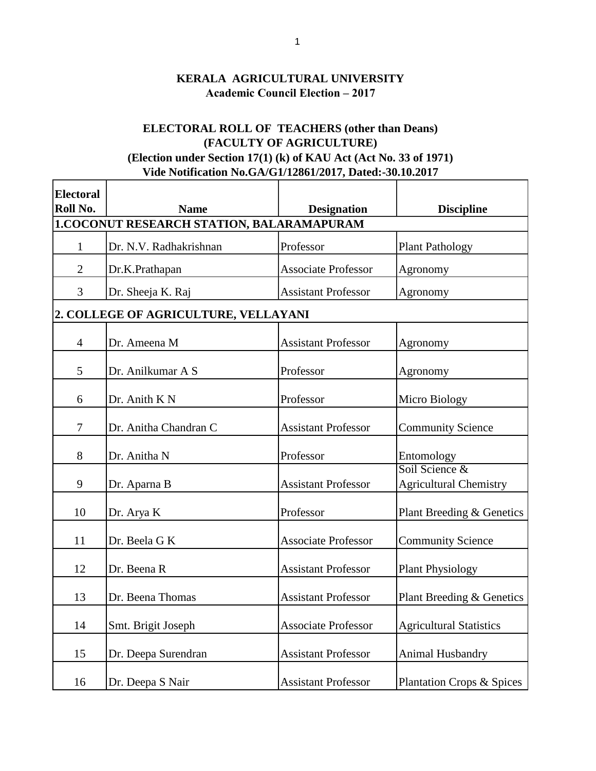## **KERALA AGRICULTURAL UNIVERSITY Academic Council Election – 2017**

## **ELECTORAL ROLL OF TEACHERS (other than Deans) (FACULTY OF AGRICULTURE) (Election under Section 17(1) (k) of KAU Act (Act No. 33 of 1971) Vide Notification No.GA/G1/12861/2017, Dated:-30.10.2017**

| <b>Electoral</b> |                                                   |                            |                                                 |
|------------------|---------------------------------------------------|----------------------------|-------------------------------------------------|
| Roll No.         | <b>Name</b>                                       | <b>Designation</b>         | <b>Discipline</b>                               |
|                  | <b>1. COCONUT RESEARCH STATION, BALARAMAPURAM</b> |                            |                                                 |
| 1                | Dr. N.V. Radhakrishnan                            | Professor                  | <b>Plant Pathology</b>                          |
| $\overline{2}$   | Dr.K.Prathapan                                    | <b>Associate Professor</b> | Agronomy                                        |
| 3                | Dr. Sheeja K. Raj                                 | <b>Assistant Professor</b> | Agronomy                                        |
|                  | 2. COLLEGE OF AGRICULTURE, VELLAYANI              |                            |                                                 |
| $\overline{4}$   | Dr. Ameena M                                      | <b>Assistant Professor</b> | Agronomy                                        |
| 5                | Dr. Anilkumar A S                                 | Professor                  | Agronomy                                        |
| 6                | Dr. Anith KN                                      | Professor                  | Micro Biology                                   |
| $\tau$           | Dr. Anitha Chandran C                             | <b>Assistant Professor</b> | <b>Community Science</b>                        |
| 8                | Dr. Anitha N                                      | Professor                  | Entomology                                      |
| 9                | Dr. Aparna B                                      | <b>Assistant Professor</b> | Soil Science &<br><b>Agricultural Chemistry</b> |
| 10               | Dr. Arya K                                        | Professor                  | Plant Breeding & Genetics                       |
| 11               | Dr. Beela G K                                     | <b>Associate Professor</b> | <b>Community Science</b>                        |
| 12               | Dr. Beena R                                       | <b>Assistant Professor</b> | <b>Plant Physiology</b>                         |
| 13               | Dr. Beena Thomas                                  | <b>Assistant Professor</b> | Plant Breeding & Genetics                       |
| 14               | Smt. Brigit Joseph                                | <b>Associate Professor</b> | <b>Agricultural Statistics</b>                  |
| 15               | Dr. Deepa Surendran                               | <b>Assistant Professor</b> | Animal Husbandry                                |
| 16               | Dr. Deepa S Nair                                  | <b>Assistant Professor</b> | <b>Plantation Crops &amp; Spices</b>            |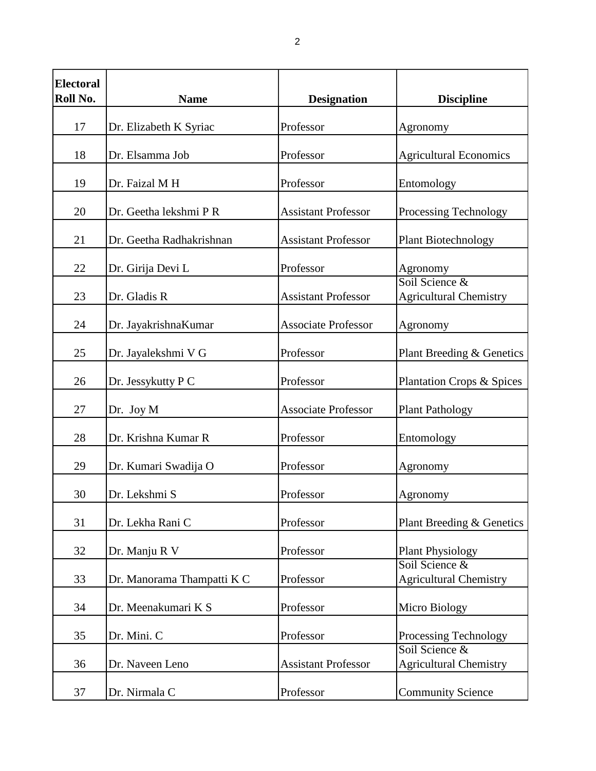| <b>Electoral</b><br>Roll No. | <b>Name</b>                | <b>Designation</b>         | <b>Discipline</b>                               |
|------------------------------|----------------------------|----------------------------|-------------------------------------------------|
|                              |                            |                            |                                                 |
| 17                           | Dr. Elizabeth K Syriac     | Professor                  | Agronomy                                        |
| 18                           | Dr. Elsamma Job            | Professor                  | <b>Agricultural Economics</b>                   |
| 19                           | Dr. Faizal M H             | Professor                  | Entomology                                      |
| 20                           | Dr. Geetha lekshmi P R     | <b>Assistant Professor</b> | Processing Technology                           |
| 21                           | Dr. Geetha Radhakrishnan   | <b>Assistant Professor</b> | <b>Plant Biotechnology</b>                      |
| 22                           | Dr. Girija Devi L          | Professor                  | Agronomy                                        |
| 23                           | Dr. Gladis R               | <b>Assistant Professor</b> | Soil Science &<br><b>Agricultural Chemistry</b> |
| 24                           | Dr. JayakrishnaKumar       | <b>Associate Professor</b> | Agronomy                                        |
| 25                           | Dr. Jayalekshmi V G        | Professor                  | Plant Breeding & Genetics                       |
| 26                           | Dr. Jessykutty P C         | Professor                  | <b>Plantation Crops &amp; Spices</b>            |
| 27                           | Dr. Joy M                  | <b>Associate Professor</b> | <b>Plant Pathology</b>                          |
| 28                           | Dr. Krishna Kumar R        | Professor                  | Entomology                                      |
| 29                           | Dr. Kumari Swadija O       | Professor                  | Agronomy                                        |
| 30                           | Dr. Lekshmi S              | Professor                  | Agronomy                                        |
| 31                           | Dr. Lekha Rani C           | Professor                  | Plant Breeding & Genetics                       |
| 32                           | Dr. Manju R V              | Professor                  | <b>Plant Physiology</b>                         |
| 33                           | Dr. Manorama Thampatti K C | Professor                  | Soil Science &<br><b>Agricultural Chemistry</b> |
| 34                           | Dr. Meenakumari K S        | Professor                  | Micro Biology                                   |
| 35                           | Dr. Mini. C                | Professor                  | Processing Technology                           |
| 36                           | Dr. Naveen Leno            | <b>Assistant Professor</b> | Soil Science &<br><b>Agricultural Chemistry</b> |
| 37                           | Dr. Nirmala C              | Professor                  | <b>Community Science</b>                        |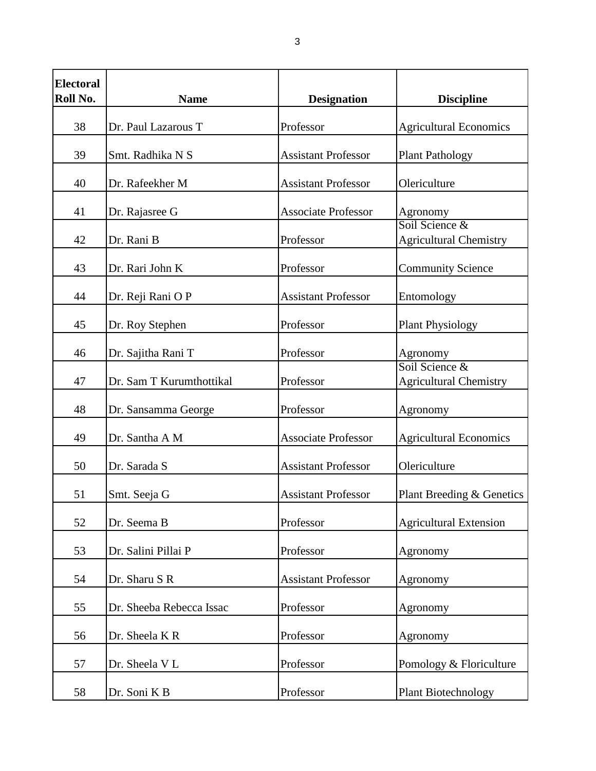| <b>Electoral</b> |                          |                            |                                                 |
|------------------|--------------------------|----------------------------|-------------------------------------------------|
| Roll No.         | <b>Name</b>              | <b>Designation</b>         | <b>Discipline</b>                               |
| 38               | Dr. Paul Lazarous T      | Professor                  | <b>Agricultural Economics</b>                   |
| 39               | Smt. Radhika N S         | <b>Assistant Professor</b> | <b>Plant Pathology</b>                          |
| 40               | Dr. Rafeekher M          | <b>Assistant Professor</b> | Olericulture                                    |
| 41               | Dr. Rajasree G           | <b>Associate Professor</b> | Agronomy                                        |
| 42               | Dr. Rani B               | Professor                  | Soil Science &<br><b>Agricultural Chemistry</b> |
| 43               | Dr. Rari John K          | Professor                  | <b>Community Science</b>                        |
| 44               | Dr. Reji Rani O P        | <b>Assistant Professor</b> | Entomology                                      |
| 45               | Dr. Roy Stephen          | Professor                  | <b>Plant Physiology</b>                         |
| 46               | Dr. Sajitha Rani T       | Professor                  | Agronomy                                        |
| 47               | Dr. Sam T Kurumthottikal | Professor                  | Soil Science &<br><b>Agricultural Chemistry</b> |
| 48               | Dr. Sansamma George      | Professor                  | Agronomy                                        |
| 49               | Dr. Santha A M           | <b>Associate Professor</b> | <b>Agricultural Economics</b>                   |
| 50               | Dr. Sarada S             | <b>Assistant Professor</b> | Olericulture                                    |
| 51               | Smt. Seeja G             | <b>Assistant Professor</b> | Plant Breeding & Genetics                       |
| 52               | Dr. Seema B              | Professor                  | <b>Agricultural Extension</b>                   |
| 53               | Dr. Salini Pillai P      | Professor                  | Agronomy                                        |
| 54               | Dr. Sharu S R            | <b>Assistant Professor</b> | Agronomy                                        |
| 55               | Dr. Sheeba Rebecca Issac | Professor                  | Agronomy                                        |
| 56               | Dr. Sheela K R           | Professor                  | Agronomy                                        |
| 57               | Dr. Sheela V L           | Professor                  | Pomology & Floriculture                         |
| 58               | Dr. Soni K B             | Professor                  | <b>Plant Biotechnology</b>                      |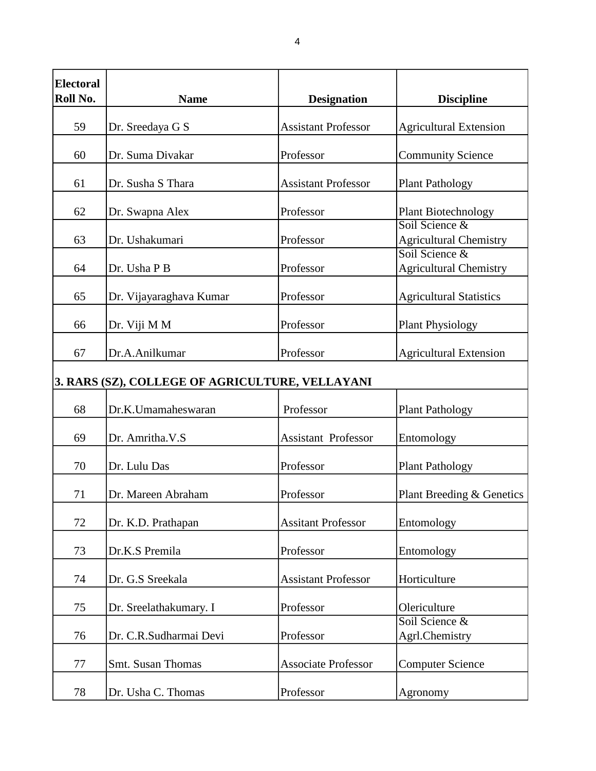| <b>Electoral</b><br>Roll No. | <b>Name</b>                                     | <b>Designation</b>         | <b>Discipline</b>                               |
|------------------------------|-------------------------------------------------|----------------------------|-------------------------------------------------|
| 59                           | Dr. Sreedaya G S                                | <b>Assistant Professor</b> | <b>Agricultural Extension</b>                   |
| 60                           | Dr. Suma Divakar                                | Professor                  | <b>Community Science</b>                        |
| 61                           | Dr. Susha S Thara                               | <b>Assistant Professor</b> | <b>Plant Pathology</b>                          |
| 62                           | Dr. Swapna Alex                                 | Professor                  | <b>Plant Biotechnology</b>                      |
| 63                           | Dr. Ushakumari                                  | Professor                  | Soil Science &<br><b>Agricultural Chemistry</b> |
| 64                           | Dr. Usha P B                                    | Professor                  | Soil Science &<br><b>Agricultural Chemistry</b> |
| 65                           | Dr. Vijayaraghava Kumar                         | Professor                  | <b>Agricultural Statistics</b>                  |
| 66                           | Dr. Viji M M                                    | Professor                  | <b>Plant Physiology</b>                         |
| 67                           | Dr.A.Anilkumar                                  | Professor                  | <b>Agricultural Extension</b>                   |
|                              | 3. RARS (SZ), COLLEGE OF AGRICULTURE, VELLAYANI |                            |                                                 |
| 68                           | Dr.K.Umamaheswaran                              | Professor                  | <b>Plant Pathology</b>                          |
| 69                           | Dr. Amritha.V.S                                 | <b>Assistant Professor</b> | Entomology                                      |
| 70                           | Dr. Lulu Das                                    | Professor                  | <b>Plant Pathology</b>                          |
| 71                           | Dr. Mareen Abraham                              | Professor                  | Plant Breeding & Genetics                       |
| 72                           | Dr. K.D. Prathapan                              | <b>Assitant Professor</b>  | Entomology                                      |
| 73                           | Dr.K.S Premila                                  | Professor                  | Entomology                                      |
| 74                           | Dr. G.S Sreekala                                | <b>Assistant Professor</b> | Horticulture                                    |
| 75                           | Dr. Sreelathakumary. I                          | Professor                  | Olericulture                                    |
| 76                           | Dr. C.R.Sudharmai Devi                          | Professor                  | Soil Science &<br>Agrl.Chemistry                |
| 77                           | Smt. Susan Thomas                               | <b>Associate Professor</b> | <b>Computer Science</b>                         |
| 78                           | Dr. Usha C. Thomas                              | Professor                  | Agronomy                                        |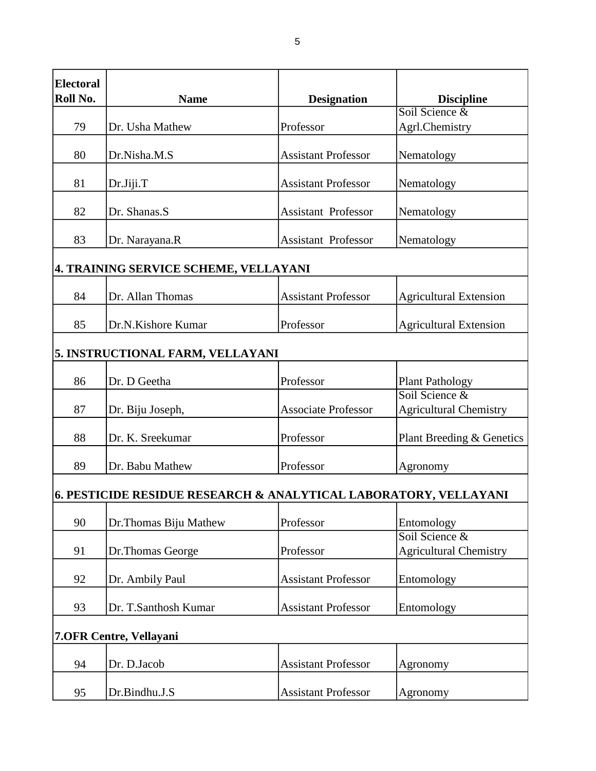| <b>Electoral</b><br>Roll No. | <b>Name</b>                                                      | <b>Designation</b>         | <b>Discipline</b>                               |
|------------------------------|------------------------------------------------------------------|----------------------------|-------------------------------------------------|
|                              |                                                                  |                            | Soil Science &                                  |
| 79                           | Dr. Usha Mathew                                                  | Professor                  | Agrl.Chemistry                                  |
|                              |                                                                  |                            |                                                 |
| 80                           | Dr.Nisha.M.S                                                     | <b>Assistant Professor</b> | Nematology                                      |
| 81                           | Dr.Jiji.T                                                        | <b>Assistant Professor</b> | Nematology                                      |
| 82                           | Dr. Shanas.S                                                     | <b>Assistant Professor</b> | Nematology                                      |
| 83                           | Dr. Narayana.R                                                   | <b>Assistant Professor</b> | Nematology                                      |
|                              | 4. TRAINING SERVICE SCHEME, VELLAYANI                            |                            |                                                 |
| 84                           | Dr. Allan Thomas                                                 | <b>Assistant Professor</b> | <b>Agricultural Extension</b>                   |
| 85                           | Dr.N.Kishore Kumar                                               | Professor                  | <b>Agricultural Extension</b>                   |
|                              | <b>5. INSTRUCTIONAL FARM, VELLAYANI</b>                          |                            |                                                 |
| 86                           | Dr. D Geetha                                                     | Professor                  | <b>Plant Pathology</b>                          |
| 87                           | Dr. Biju Joseph,                                                 | <b>Associate Professor</b> | Soil Science &<br><b>Agricultural Chemistry</b> |
| 88                           | Dr. K. Sreekumar                                                 | Professor                  | Plant Breeding & Genetics                       |
| 89                           | Dr. Babu Mathew                                                  | Professor                  | Agronomy                                        |
|                              | 6. PESTICIDE RESIDUE RESEARCH & ANALYTICAL LABORATORY, VELLAYANI |                            |                                                 |
| 90                           | Dr. Thomas Biju Mathew                                           | Professor                  | Entomology                                      |
| 91                           | Dr.Thomas George                                                 | Professor                  | Soil Science &<br><b>Agricultural Chemistry</b> |
|                              |                                                                  |                            |                                                 |
| 92                           | Dr. Ambily Paul                                                  | <b>Assistant Professor</b> | Entomology                                      |
| 93                           | Dr. T.Santhosh Kumar                                             | <b>Assistant Professor</b> | Entomology                                      |
|                              | 7.OFR Centre, Vellayani                                          |                            |                                                 |
| 94                           | Dr. D.Jacob                                                      | <b>Assistant Professor</b> | Agronomy                                        |
| 95                           | Dr.Bindhu.J.S                                                    | <b>Assistant Professor</b> | Agronomy                                        |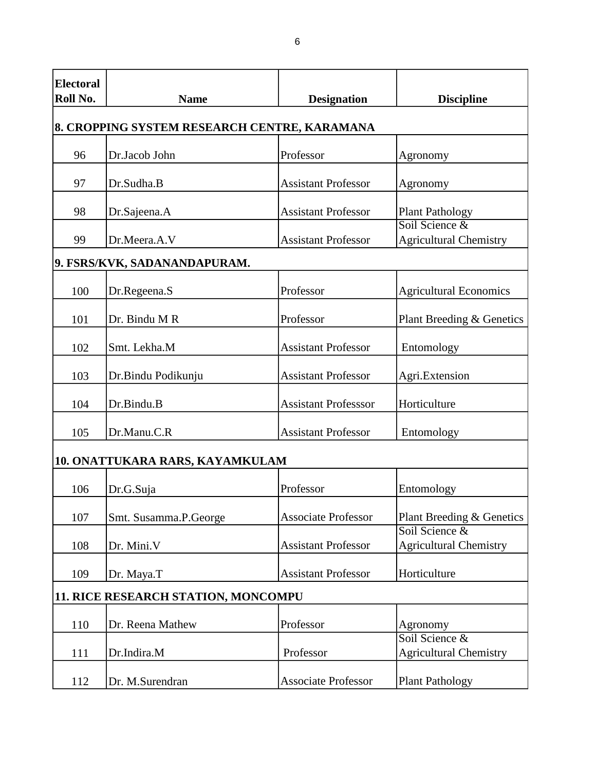| <b>Electoral</b> |                                              |                             |                                                 |
|------------------|----------------------------------------------|-----------------------------|-------------------------------------------------|
| Roll No.         | <b>Name</b>                                  | <b>Designation</b>          | <b>Discipline</b>                               |
|                  | 8. CROPPING SYSTEM RESEARCH CENTRE, KARAMANA |                             |                                                 |
| 96               | Dr.Jacob John                                | Professor                   | Agronomy                                        |
| 97               | Dr.Sudha.B                                   | <b>Assistant Professor</b>  | Agronomy                                        |
| 98               | Dr.Sajeena.A                                 | <b>Assistant Professor</b>  | <b>Plant Pathology</b>                          |
| 99               | Dr.Meera.A.V                                 | <b>Assistant Professor</b>  | Soil Science &<br><b>Agricultural Chemistry</b> |
|                  | 9. FSRS/KVK, SADANANDAPURAM.                 |                             |                                                 |
| 100              | Dr.Regeena.S                                 | Professor                   | <b>Agricultural Economics</b>                   |
| 101              | Dr. Bindu MR                                 | Professor                   | Plant Breeding & Genetics                       |
| 102              | Smt. Lekha.M                                 | <b>Assistant Professor</b>  | Entomology                                      |
| 103              | Dr.Bindu Podikunju                           | <b>Assistant Professor</b>  | Agri.Extension                                  |
| 104              | Dr.Bindu.B                                   | <b>Assistant Professsor</b> | Horticulture                                    |
| 105              | Dr.Manu.C.R                                  | <b>Assistant Professor</b>  | Entomology                                      |
|                  | 10. ONATTUKARA RARS, KAYAMKULAM              |                             |                                                 |
| 106              | Dr.G.Suja                                    | Professor                   | Entomology                                      |
| 107              | Smt. Susamma.P.George                        | <b>Associate Professor</b>  | Plant Breeding & Genetics                       |
| 108              | Dr. Mini.V                                   | <b>Assistant Professor</b>  | Soil Science &<br><b>Agricultural Chemistry</b> |
| 109              | Dr. Maya.T                                   | <b>Assistant Professor</b>  | Horticulture                                    |
|                  | 11. RICE RESEARCH STATION, MONCOMPU          |                             |                                                 |
| 110              | Dr. Reena Mathew                             | Professor                   | Agronomy                                        |
| 111              | Dr.Indira.M                                  | Professor                   | Soil Science &<br><b>Agricultural Chemistry</b> |
| 112              | Dr. M.Surendran                              | <b>Associate Professor</b>  | <b>Plant Pathology</b>                          |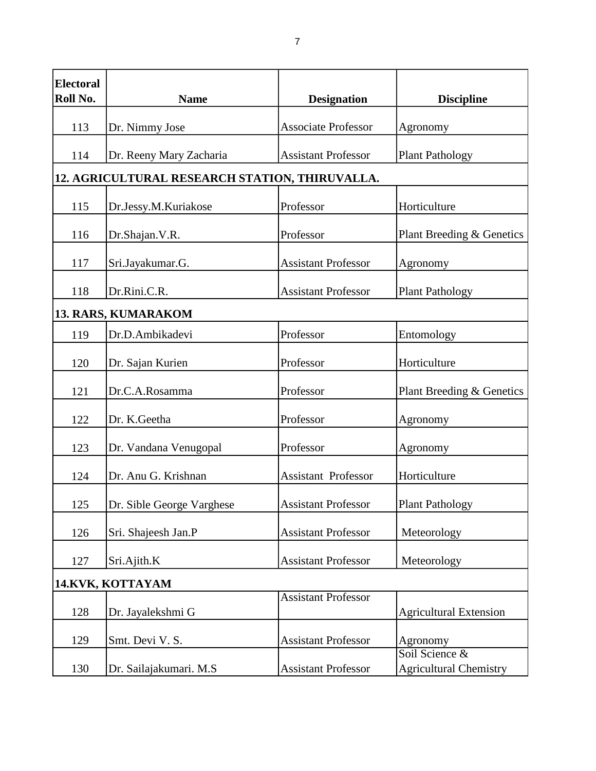| <b>Electoral</b><br>Roll No. | <b>Name</b>                                    | <b>Designation</b>         | <b>Discipline</b>                               |
|------------------------------|------------------------------------------------|----------------------------|-------------------------------------------------|
| 113                          | Dr. Nimmy Jose                                 | <b>Associate Professor</b> | Agronomy                                        |
| 114                          | Dr. Reeny Mary Zacharia                        | <b>Assistant Professor</b> | <b>Plant Pathology</b>                          |
|                              | 12. AGRICULTURAL RESEARCH STATION, THIRUVALLA. |                            |                                                 |
| 115                          | Dr.Jessy.M.Kuriakose                           | Professor                  | Horticulture                                    |
| 116                          | Dr.Shajan.V.R.                                 | Professor                  | Plant Breeding & Genetics                       |
| 117                          | Sri.Jayakumar.G.                               | <b>Assistant Professor</b> | Agronomy                                        |
| 118                          | Dr.Rini.C.R.                                   | <b>Assistant Professor</b> | <b>Plant Pathology</b>                          |
|                              | 13. RARS, KUMARAKOM                            |                            |                                                 |
| 119                          | Dr.D.Ambikadevi                                | Professor                  | Entomology                                      |
| 120                          | Dr. Sajan Kurien                               | Professor                  | Horticulture                                    |
| 121                          | Dr.C.A.Rosamma                                 | Professor                  | Plant Breeding & Genetics                       |
| 122                          | Dr. K.Geetha                                   | Professor                  | Agronomy                                        |
| 123                          | Dr. Vandana Venugopal                          | Professor                  | Agronomy                                        |
| 124                          | Dr. Anu G. Krishnan                            | <b>Assistant Professor</b> | Horticulture                                    |
| 125                          | Dr. Sible George Varghese                      | <b>Assistant Professor</b> | <b>Plant Pathology</b>                          |
| 126                          | Sri. Shajeesh Jan.P                            | <b>Assistant Professor</b> | Meteorology                                     |
| 127                          | Sri.Ajith.K                                    | <b>Assistant Professor</b> | Meteorology                                     |
|                              | 14.KVK, KOTTAYAM                               |                            |                                                 |
| 128                          | Dr. Jayalekshmi G                              | <b>Assistant Professor</b> | <b>Agricultural Extension</b>                   |
| 129                          | Smt. Devi V. S.                                | <b>Assistant Professor</b> | Agronomy                                        |
| 130                          | Dr. Sailajakumari. M.S                         | <b>Assistant Professor</b> | Soil Science &<br><b>Agricultural Chemistry</b> |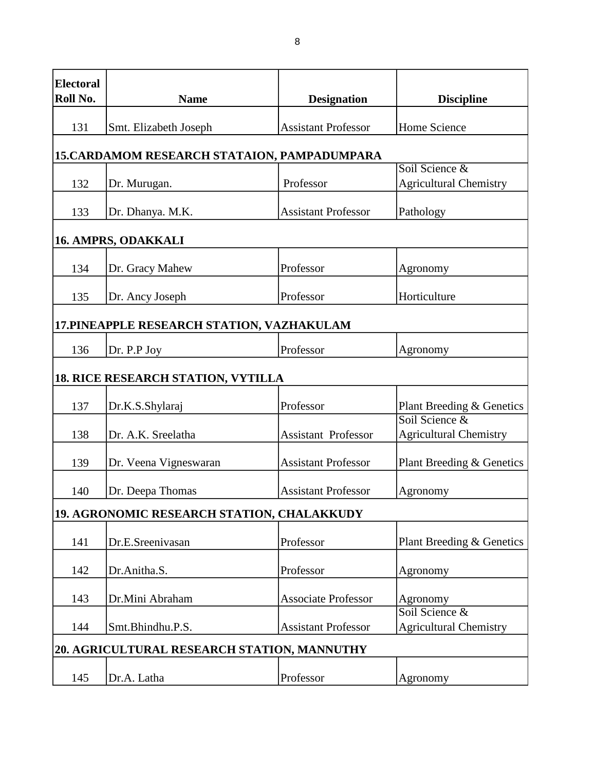| <b>Electoral</b><br>Roll No. | <b>Name</b>                                  | <b>Designation</b>         | <b>Discipline</b>                               |
|------------------------------|----------------------------------------------|----------------------------|-------------------------------------------------|
| 131                          | Smt. Elizabeth Joseph                        | <b>Assistant Professor</b> | Home Science                                    |
|                              |                                              |                            |                                                 |
|                              | 15. CARDAMOM RESEARCH STATAION, PAMPADUMPARA |                            | Soil Science &                                  |
| 132                          | Dr. Murugan.                                 | Professor                  | <b>Agricultural Chemistry</b>                   |
| 133                          | Dr. Dhanya. M.K.                             | <b>Assistant Professor</b> | Pathology                                       |
|                              | 16. AMPRS, ODAKKALI                          |                            |                                                 |
| 134                          | Dr. Gracy Mahew                              | Professor                  | Agronomy                                        |
| 135                          | Dr. Ancy Joseph                              | Professor                  | Horticulture                                    |
|                              | 17. PINEAPPLE RESEARCH STATION, VAZHAKULAM   |                            |                                                 |
| 136                          | Dr. P.P Joy                                  | Professor                  | Agronomy                                        |
|                              | <b>18. RICE RESEARCH STATION, VYTILLA</b>    |                            |                                                 |
| 137                          | Dr.K.S.Shylaraj                              | Professor                  | Plant Breeding & Genetics                       |
| 138                          | Dr. A.K. Sreelatha                           | <b>Assistant Professor</b> | Soil Science &<br><b>Agricultural Chemistry</b> |
| 139                          | Dr. Veena Vigneswaran                        | <b>Assistant Professor</b> | Plant Breeding & Genetics                       |
| 140                          | Dr. Deepa Thomas                             | <b>Assistant Professor</b> | Agronomy                                        |
|                              | 19. AGRONOMIC RESEARCH STATION, CHALAKKUDY   |                            |                                                 |
| 141                          | Dr.E.Sreenivasan                             | Professor                  | Plant Breeding & Genetics                       |
| 142                          | Dr.Anitha.S.                                 | Professor                  | Agronomy                                        |
| 143                          | Dr.Mini Abraham                              | <b>Associate Professor</b> | Agronomy                                        |
|                              |                                              |                            | Soil Science &                                  |
| 144                          | Smt.Bhindhu.P.S.                             | <b>Assistant Professor</b> | <b>Agricultural Chemistry</b>                   |
|                              | 20. AGRICULTURAL RESEARCH STATION, MANNUTHY  |                            |                                                 |
| 145                          | Dr.A. Latha                                  | Professor                  | Agronomy                                        |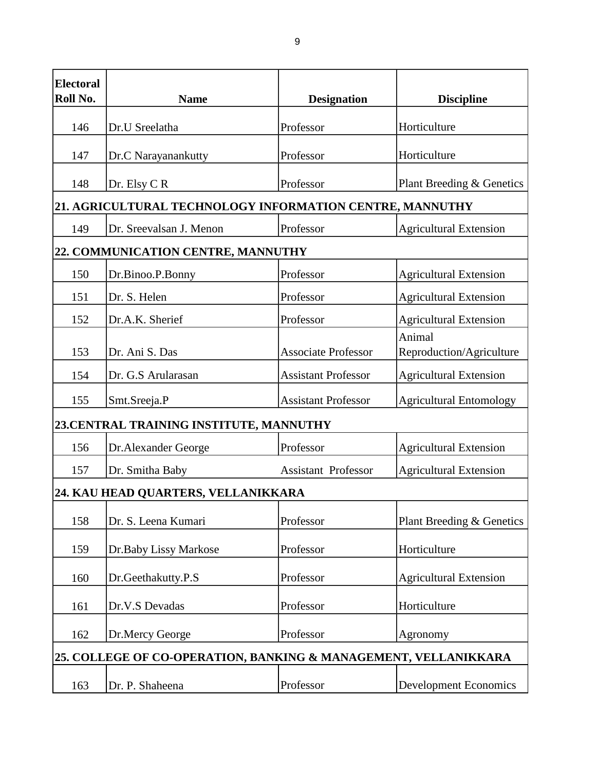| <b>Electoral</b><br>Roll No. | <b>Name</b>                                                     | <b>Designation</b>         | <b>Discipline</b>                  |
|------------------------------|-----------------------------------------------------------------|----------------------------|------------------------------------|
| 146                          | Dr.U Sreelatha                                                  | Professor                  | Horticulture                       |
| 147                          | Dr.C Narayanankutty                                             | Professor                  | Horticulture                       |
| 148                          | Dr. Elsy C R                                                    | Professor                  | Plant Breeding & Genetics          |
|                              | 21. AGRICULTURAL TECHNOLOGY INFORMATION CENTRE, MANNUTHY        |                            |                                    |
| 149                          | Dr. Sreevalsan J. Menon                                         | Professor                  | <b>Agricultural Extension</b>      |
|                              | 22. COMMUNICATION CENTRE, MANNUTHY                              |                            |                                    |
| 150                          | Dr.Binoo.P.Bonny                                                | Professor                  | <b>Agricultural Extension</b>      |
| 151                          | Dr. S. Helen                                                    | Professor                  | <b>Agricultural Extension</b>      |
| 152                          | Dr.A.K. Sherief                                                 | Professor                  | <b>Agricultural Extension</b>      |
| 153                          | Dr. Ani S. Das                                                  | <b>Associate Professor</b> | Animal<br>Reproduction/Agriculture |
| 154                          | Dr. G.S Arularasan                                              | <b>Assistant Professor</b> | <b>Agricultural Extension</b>      |
| 155                          | Smt.Sreeja.P                                                    | <b>Assistant Professor</b> | <b>Agricultural Entomology</b>     |
|                              | 23. CENTRAL TRAINING INSTITUTE, MANNUTHY                        |                            |                                    |
| 156                          | Dr.Alexander George                                             | Professor                  | <b>Agricultural Extension</b>      |
| 157                          | Dr. Smitha Baby                                                 | <b>Assistant Professor</b> | <b>Agricultural Extension</b>      |
|                              | 24. KAU HEAD QUARTERS, VELLANIKKARA                             |                            |                                    |
| 158                          | Dr. S. Leena Kumari                                             | Professor                  | Plant Breeding & Genetics          |
| 159                          | Dr.Baby Lissy Markose                                           | Professor                  | Horticulture                       |
| 160                          | Dr.Geethakutty.P.S                                              | Professor                  | <b>Agricultural Extension</b>      |
| 161                          | Dr.V.S Devadas                                                  | Professor                  | Horticulture                       |
| 162                          | Dr.Mercy George                                                 | Professor                  | Agronomy                           |
|                              | 25. COLLEGE OF CO-OPERATION, BANKING & MANAGEMENT, VELLANIKKARA |                            |                                    |
| 163                          | Dr. P. Shaheena                                                 | Professor                  | <b>Development Economics</b>       |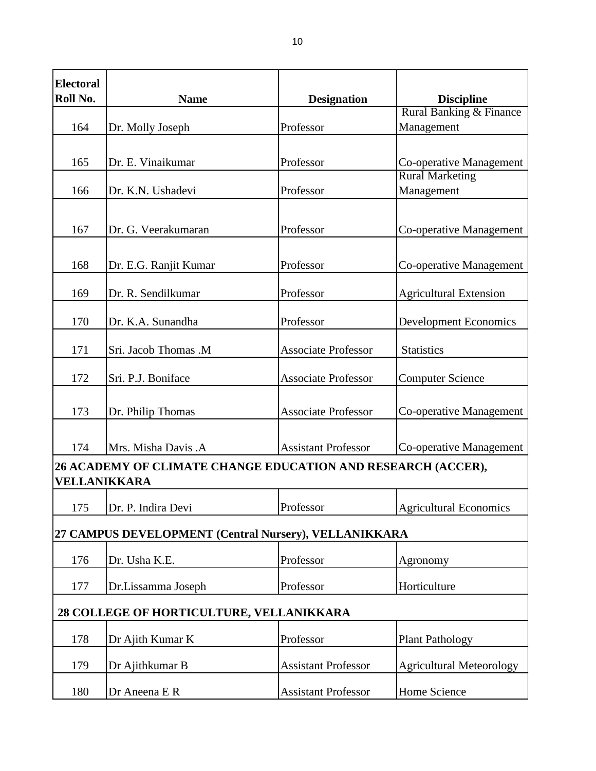| <b>Electoral</b> |                                                              |                            |                                       |
|------------------|--------------------------------------------------------------|----------------------------|---------------------------------------|
| Roll No.         | <b>Name</b>                                                  | <b>Designation</b>         | <b>Discipline</b>                     |
| 164              |                                                              | Professor                  | Rural Banking & Finance<br>Management |
|                  | Dr. Molly Joseph                                             |                            |                                       |
| 165              | Dr. E. Vinaikumar                                            | Professor                  | Co-operative Management               |
|                  |                                                              |                            | <b>Rural Marketing</b>                |
| 166              | Dr. K.N. Ushadevi                                            | Professor                  | Management                            |
|                  |                                                              |                            |                                       |
| 167              |                                                              | Professor                  |                                       |
|                  | Dr. G. Veerakumaran                                          |                            | Co-operative Management               |
| 168              | Dr. E.G. Ranjit Kumar                                        | Professor                  | Co-operative Management               |
|                  |                                                              |                            |                                       |
| 169              | Dr. R. Sendilkumar                                           | Professor                  | <b>Agricultural Extension</b>         |
|                  |                                                              |                            |                                       |
| 170              | Dr. K.A. Sunandha                                            | Professor                  | <b>Development Economics</b>          |
| 171              | Sri. Jacob Thomas .M                                         | <b>Associate Professor</b> | <b>Statistics</b>                     |
| 172              | Sri. P.J. Boniface                                           | <b>Associate Professor</b> | <b>Computer Science</b>               |
| 173              | Dr. Philip Thomas                                            | <b>Associate Professor</b> | Co-operative Management               |
| 174              | Mrs. Misha Davis .A                                          | <b>Assistant Professor</b> | Co-operative Management               |
| VELLANIKKARA     | 26 ACADEMY OF CLIMATE CHANGE EDUCATION AND RESEARCH (ACCER), |                            |                                       |
| 175              | Dr. P. Indira Devi                                           | Professor                  | <b>Agricultural Economics</b>         |
|                  | 27 CAMPUS DEVELOPMENT (Central Nursery), VELLANIKKARA        |                            |                                       |
| 176              | Dr. Usha K.E.                                                | Professor                  | Agronomy                              |
| 177              | Dr.Lissamma Joseph                                           | Professor                  | Horticulture                          |
|                  | 28 COLLEGE OF HORTICULTURE, VELLANIKKARA                     |                            |                                       |
| 178              | Dr Ajith Kumar K                                             | Professor                  | <b>Plant Pathology</b>                |
| 179              | Dr Ajithkumar B                                              | <b>Assistant Professor</b> | <b>Agricultural Meteorology</b>       |
| 180              | Dr Aneena E R                                                | <b>Assistant Professor</b> | Home Science                          |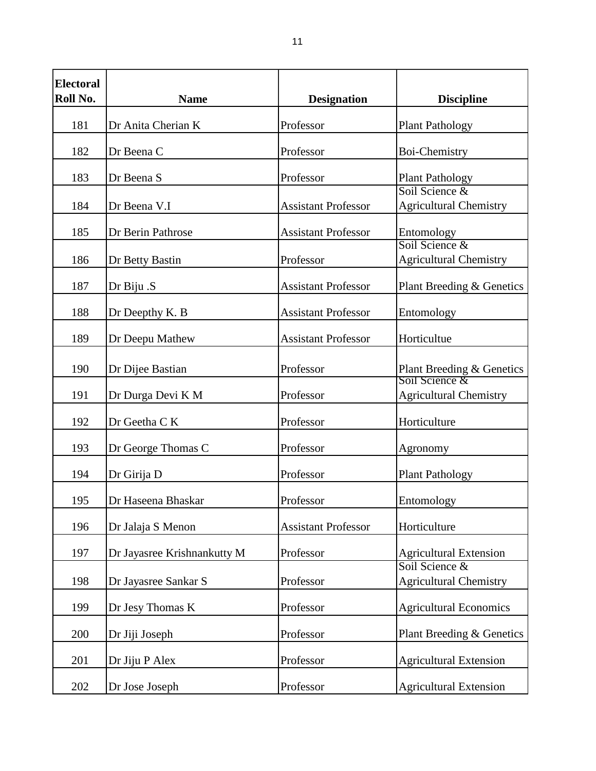| <b>Electoral</b><br>Roll No. | <b>Name</b>                 | <b>Designation</b>         | <b>Discipline</b>                               |
|------------------------------|-----------------------------|----------------------------|-------------------------------------------------|
|                              |                             |                            |                                                 |
| 181                          | Dr Anita Cherian K          | Professor                  | <b>Plant Pathology</b>                          |
| 182                          | Dr Beena C                  | Professor                  | Boi-Chemistry                                   |
|                              |                             |                            |                                                 |
| 183                          | Dr Beena S                  | Professor                  | <b>Plant Pathology</b>                          |
|                              |                             |                            | Soil Science $\&$                               |
| 184                          | Dr Beena V.I                | <b>Assistant Professor</b> | <b>Agricultural Chemistry</b>                   |
| 185                          | Dr Berin Pathrose           | <b>Assistant Professor</b> | Entomology                                      |
|                              |                             |                            | Soil Science &                                  |
| 186                          | Dr Betty Bastin             | Professor                  | <b>Agricultural Chemistry</b>                   |
| 187                          | Dr Biju .S                  | <b>Assistant Professor</b> | Plant Breeding & Genetics                       |
|                              |                             |                            |                                                 |
| 188                          | Dr Deepthy K. B             | <b>Assistant Professor</b> | Entomology                                      |
| 189                          | Dr Deepu Mathew             | <b>Assistant Professor</b> | Horticultue                                     |
|                              |                             |                            |                                                 |
| 190                          | Dr Dijee Bastian            | Professor                  | Plant Breeding & Genetics<br>Soil Science &     |
| 191                          | Dr Durga Devi K M           | Professor                  | <b>Agricultural Chemistry</b>                   |
| 192                          | Dr Geetha C K               | Professor                  | Horticulture                                    |
|                              |                             |                            |                                                 |
| 193                          | Dr George Thomas C          | Professor                  | Agronomy                                        |
| 194                          | Dr Girija D                 | Professor                  | <b>Plant Pathology</b>                          |
|                              |                             |                            |                                                 |
| 195                          | Dr Haseena Bhaskar          | Professor                  | Entomology                                      |
| 196                          | Dr Jalaja S Menon           | <b>Assistant Professor</b> | Horticulture                                    |
|                              |                             |                            |                                                 |
| 197                          | Dr Jayasree Krishnankutty M | Professor                  | <b>Agricultural Extension</b>                   |
| 198                          | Dr Jayasree Sankar S        | Professor                  | Soil Science &<br><b>Agricultural Chemistry</b> |
|                              |                             |                            |                                                 |
| 199                          | Dr Jesy Thomas K            | Professor                  | <b>Agricultural Economics</b>                   |
| 200                          | Dr Jiji Joseph              | Professor                  | Plant Breeding & Genetics                       |
|                              |                             |                            |                                                 |
| 201                          | Dr Jiju P Alex              | Professor                  | <b>Agricultural Extension</b>                   |
| 202                          | Dr Jose Joseph              | Professor                  | <b>Agricultural Extension</b>                   |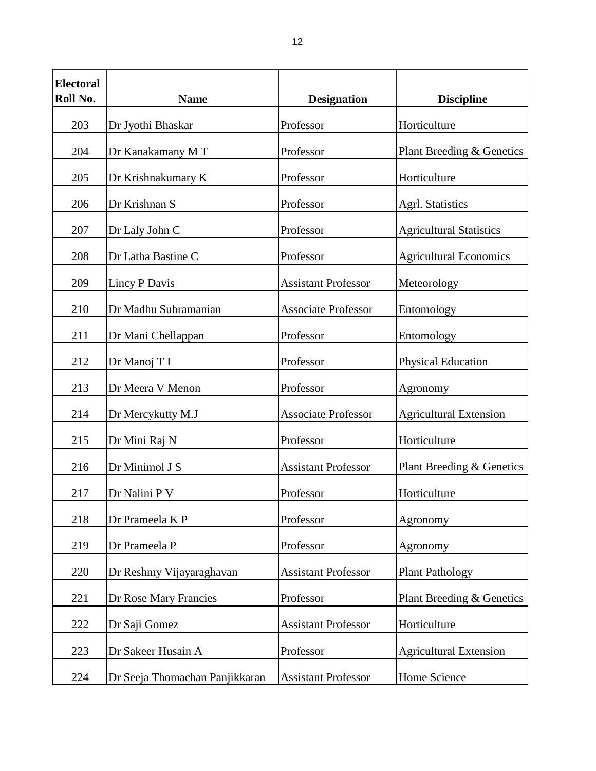| <b>Electoral</b><br>Roll No. | <b>Name</b>                    |                            |                                |
|------------------------------|--------------------------------|----------------------------|--------------------------------|
|                              |                                | <b>Designation</b>         | <b>Discipline</b>              |
| 203                          | Dr Jyothi Bhaskar              | Professor                  | Horticulture                   |
| 204                          | Dr Kanakamany MT               | Professor                  | Plant Breeding & Genetics      |
| 205                          | Dr Krishnakumary K             | Professor                  | Horticulture                   |
| 206                          | Dr Krishnan S                  | Professor                  | <b>Agrl. Statistics</b>        |
| 207                          | Dr Laly John C                 | Professor                  | <b>Agricultural Statistics</b> |
| 208                          | Dr Latha Bastine C             | Professor                  | <b>Agricultural Economics</b>  |
| 209                          | Lincy P Davis                  | <b>Assistant Professor</b> | Meteorology                    |
| 210                          | Dr Madhu Subramanian           | <b>Associate Professor</b> | Entomology                     |
| 211                          | Dr Mani Chellappan             | Professor                  | Entomology                     |
| 212                          | Dr Manoj T I                   | Professor                  | <b>Physical Education</b>      |
| 213                          | Dr Meera V Menon               | Professor                  | Agronomy                       |
| 214                          | Dr Mercykutty M.J              | <b>Associate Professor</b> | <b>Agricultural Extension</b>  |
| 215                          | Dr Mini Raj N                  | Professor                  | Horticulture                   |
| 216                          | Dr Minimol J S                 | <b>Assistant Professor</b> | Plant Breeding & Genetics      |
| 217                          | Dr Nalini P V                  | Professor                  | Horticulture                   |
| 218                          | Dr Prameela K P                | Professor                  | Agronomy                       |
| 219                          | Dr Prameela P                  | Professor                  | Agronomy                       |
| 220                          | Dr Reshmy Vijayaraghavan       | <b>Assistant Professor</b> | <b>Plant Pathology</b>         |
| 221                          | Dr Rose Mary Francies          | Professor                  | Plant Breeding & Genetics      |
| 222                          | Dr Saji Gomez                  | <b>Assistant Professor</b> | Horticulture                   |
| 223                          | Dr Sakeer Husain A             | Professor                  | <b>Agricultural Extension</b>  |
| 224                          | Dr Seeja Thomachan Panjikkaran | <b>Assistant Professor</b> | Home Science                   |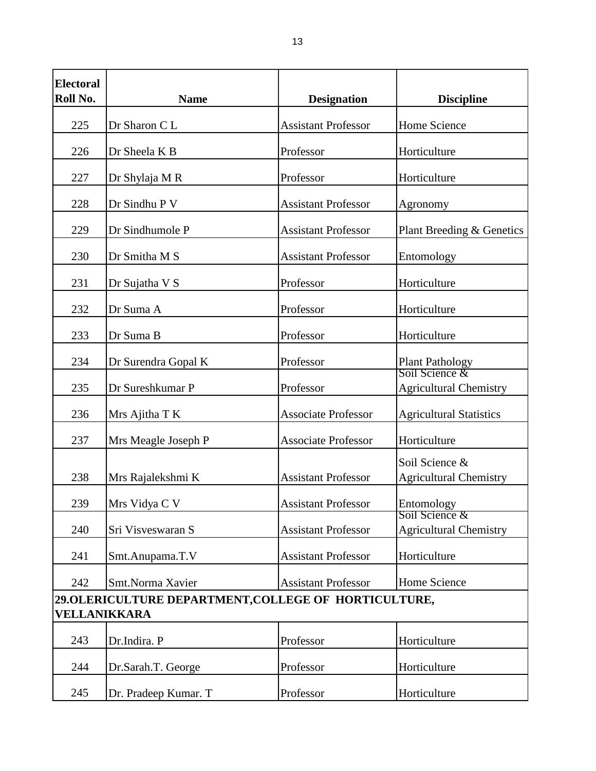| <b>Electoral</b>                                                     |                      |                            |                                                 |
|----------------------------------------------------------------------|----------------------|----------------------------|-------------------------------------------------|
| Roll No.                                                             | <b>Name</b>          | <b>Designation</b>         | <b>Discipline</b>                               |
| 225                                                                  | Dr Sharon C L        | <b>Assistant Professor</b> | Home Science                                    |
|                                                                      |                      |                            |                                                 |
| 226                                                                  | Dr Sheela K B        | Professor                  | Horticulture                                    |
| 227                                                                  | Dr Shylaja M R       | Professor                  | Horticulture                                    |
| 228                                                                  | Dr Sindhu P V        | <b>Assistant Professor</b> | Agronomy                                        |
| 229                                                                  | Dr Sindhumole P      | <b>Assistant Professor</b> | Plant Breeding & Genetics                       |
| 230                                                                  | Dr Smitha M S        | <b>Assistant Professor</b> | Entomology                                      |
| 231                                                                  | Dr Sujatha V S       | Professor                  | Horticulture                                    |
| 232                                                                  | Dr Suma A            | Professor                  | Horticulture                                    |
| 233                                                                  | Dr Suma B            | Professor                  | Horticulture                                    |
| 234                                                                  | Dr Surendra Gopal K  | Professor                  | Plant Pathology<br>Soil Science &               |
| 235                                                                  | Dr Sureshkumar P     | Professor                  |                                                 |
|                                                                      |                      |                            | <b>Agricultural Chemistry</b>                   |
| 236                                                                  | Mrs Ajitha T K       | <b>Associate Professor</b> | <b>Agricultural Statistics</b>                  |
| 237                                                                  | Mrs Meagle Joseph P  | <b>Associate Professor</b> | Horticulture                                    |
| 238                                                                  | Mrs Rajalekshmi K    | <b>Assistant Professor</b> | Soil Science &<br><b>Agricultural Chemistry</b> |
| 239                                                                  | Mrs Vidya C V        | <b>Assistant Professor</b> | Entomology                                      |
| 240                                                                  | Sri Visveswaran S    | <b>Assistant Professor</b> | Soil Science &<br><b>Agricultural Chemistry</b> |
| 241                                                                  | Smt.Anupama.T.V      | <b>Assistant Professor</b> | Horticulture                                    |
| 242                                                                  | Smt.Norma Xavier     | <b>Assistant Professor</b> | Home Science                                    |
| 29.OLERICULTURE DEPARTMENT, COLLEGE OF HORTICULTURE,<br>VELLANIKKARA |                      |                            |                                                 |
| 243                                                                  | Dr.Indira. P         | Professor                  | Horticulture                                    |
| 244                                                                  | Dr.Sarah.T. George   | Professor                  | Horticulture                                    |
| 245                                                                  | Dr. Pradeep Kumar. T | Professor                  | Horticulture                                    |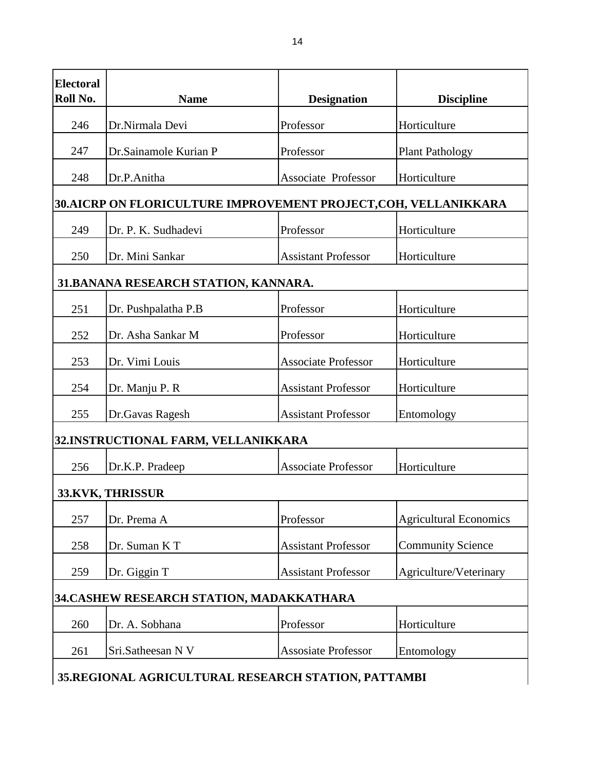| <b>Electoral</b><br><b>Roll No.</b>                 | <b>Name</b>                                                    | <b>Designation</b>         | <b>Discipline</b>             |
|-----------------------------------------------------|----------------------------------------------------------------|----------------------------|-------------------------------|
| 246                                                 | Dr.Nirmala Devi                                                | Professor                  | Horticulture                  |
| 247                                                 | Dr.Sainamole Kurian P                                          | Professor                  | <b>Plant Pathology</b>        |
| 248                                                 | Dr.P.Anitha                                                    | <b>Associate Professor</b> | Horticulture                  |
|                                                     | 30.AICRP ON FLORICULTURE IMPROVEMENT PROJECT,COH, VELLANIKKARA |                            |                               |
| 249                                                 | Dr. P. K. Sudhadevi                                            | Professor                  | Horticulture                  |
| 250                                                 | Dr. Mini Sankar                                                | <b>Assistant Professor</b> | Horticulture                  |
| 31.BANANA RESEARCH STATION, KANNARA.                |                                                                |                            |                               |
| 251                                                 | Dr. Pushpalatha P.B                                            | Professor                  | Horticulture                  |
| 252                                                 | Dr. Asha Sankar M                                              | Professor                  | Horticulture                  |
| 253                                                 | Dr. Vimi Louis                                                 | <b>Associate Professor</b> | Horticulture                  |
| 254                                                 | Dr. Manju P. R                                                 | <b>Assistant Professor</b> | Horticulture                  |
| 255                                                 | Dr.Gavas Ragesh                                                | <b>Assistant Professor</b> | Entomology                    |
| 32.INSTRUCTIONAL FARM, VELLANIKKARA                 |                                                                |                            |                               |
| 256                                                 | Dr.K.P. Pradeep                                                | <b>Associate Professor</b> | Horticulture                  |
| 33.KVK, THRISSUR                                    |                                                                |                            |                               |
| 257                                                 | Dr. Prema A                                                    | Professor                  | <b>Agricultural Economics</b> |
| 258                                                 | Dr. Suman KT                                                   | <b>Assistant Professor</b> | <b>Community Science</b>      |
| 259                                                 | Dr. Giggin T                                                   | <b>Assistant Professor</b> | Agriculture/Veterinary        |
| 34. CASHEW RESEARCH STATION, MADAKKATHARA           |                                                                |                            |                               |
| 260                                                 | Dr. A. Sobhana                                                 | Professor                  | Horticulture                  |
| 261                                                 | Sri.Satheesan N V                                              | <b>Assosiate Professor</b> | Entomology                    |
| 35.REGIONAL AGRICULTURAL RESEARCH STATION, PATTAMBI |                                                                |                            |                               |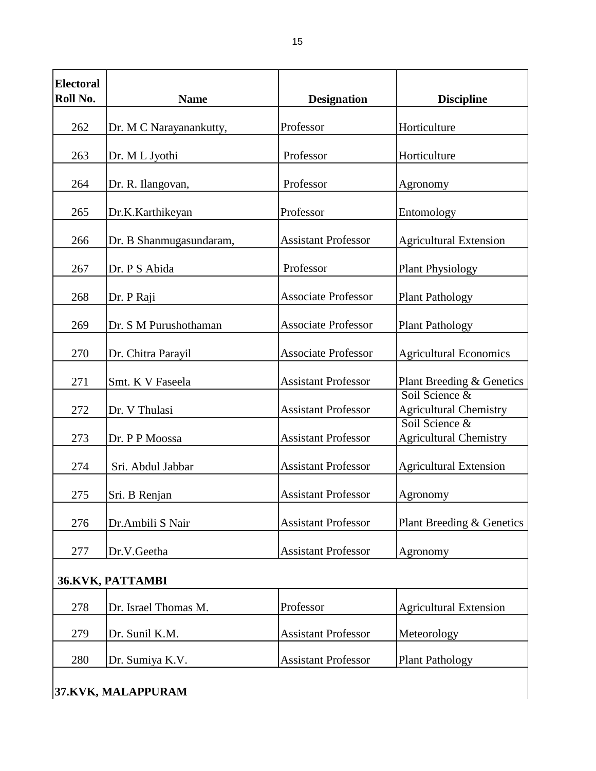| <b>Electoral</b><br>Roll No. | <b>Name</b>             | <b>Designation</b>         | <b>Discipline</b>                               |
|------------------------------|-------------------------|----------------------------|-------------------------------------------------|
| 262                          | Dr. M C Narayanankutty, | Professor                  | Horticulture                                    |
| 263                          | Dr. M L Jyothi          | Professor                  | Horticulture                                    |
| 264                          | Dr. R. Ilangovan,       | Professor                  | Agronomy                                        |
| 265                          | Dr.K.Karthikeyan        | Professor                  | Entomology                                      |
| 266                          | Dr. B Shanmugasundaram, | <b>Assistant Professor</b> | <b>Agricultural Extension</b>                   |
| 267                          | Dr. P S Abida           | Professor                  | <b>Plant Physiology</b>                         |
| 268                          | Dr. P Raji              | <b>Associate Professor</b> | <b>Plant Pathology</b>                          |
| 269                          | Dr. S M Purushothaman   | <b>Associate Professor</b> | <b>Plant Pathology</b>                          |
| 270                          | Dr. Chitra Parayil      | <b>Associate Professor</b> | <b>Agricultural Economics</b>                   |
| 271                          | Smt. K V Faseela        | <b>Assistant Professor</b> | Plant Breeding & Genetics<br>Soil Science &     |
| 272                          | Dr. V Thulasi           | <b>Assistant Professor</b> | <b>Agricultural Chemistry</b><br>Soil Science & |
| 273                          | Dr. P P Moossa          | <b>Assistant Professor</b> | <b>Agricultural Chemistry</b>                   |
| 274                          | Sri. Abdul Jabbar       | <b>Assistant Professor</b> | <b>Agricultural Extension</b>                   |
| 275                          | Sri. B Renjan           | <b>Assistant Professor</b> | Agronomy                                        |
| 276                          | Dr.Ambili S Nair        | <b>Assistant Professor</b> | Plant Breeding & Genetics                       |
| 277                          | Dr.V.Geetha             | <b>Assistant Professor</b> | Agronomy                                        |
|                              | 36.KVK, PATTAMBI        |                            |                                                 |
| 278                          | Dr. Israel Thomas M.    | Professor                  | <b>Agricultural Extension</b>                   |
| 279                          | Dr. Sunil K.M.          | <b>Assistant Professor</b> | Meteorology                                     |
| 280                          | Dr. Sumiya K.V.         | <b>Assistant Professor</b> | <b>Plant Pathology</b>                          |
| 37.KVK, MALAPPURAM           |                         |                            |                                                 |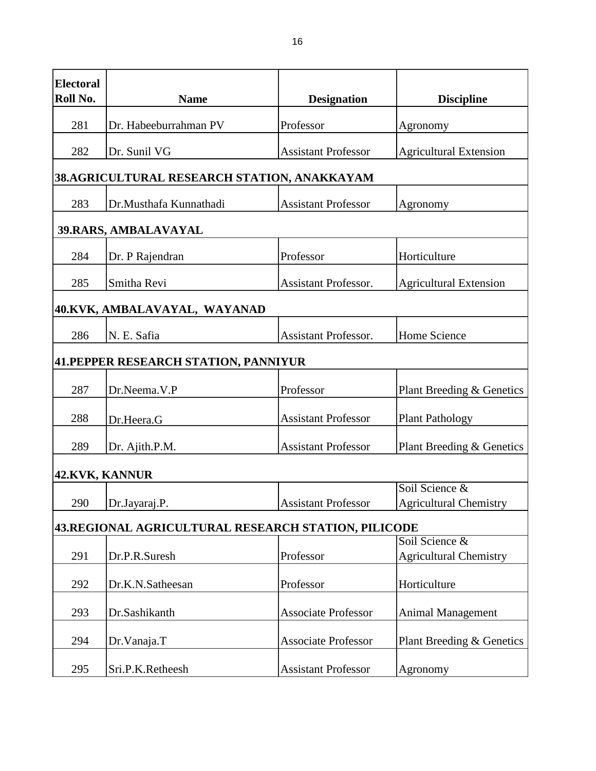| <b>Electoral</b><br>Roll No.                        | <b>Name</b>                                 | <b>Designation</b>          | <b>Discipline</b>                               |
|-----------------------------------------------------|---------------------------------------------|-----------------------------|-------------------------------------------------|
| 281                                                 | Dr. Habeeburrahman PV                       | Professor                   | Agronomy                                        |
| 282                                                 | Dr. Sunil VG                                | <b>Assistant Professor</b>  | <b>Agricultural Extension</b>                   |
|                                                     | 38.AGRICULTURAL RESEARCH STATION, ANAKKAYAM |                             |                                                 |
| 283                                                 | Dr.Musthafa Kunnathadi                      | <b>Assistant Professor</b>  | Agronomy                                        |
|                                                     | 39. RARS, AMBALAVAYAL                       |                             |                                                 |
| 284                                                 | Dr. P Rajendran                             | Professor                   | Horticulture                                    |
| 285                                                 | Smitha Revi                                 | <b>Assistant Professor.</b> | <b>Agricultural Extension</b>                   |
|                                                     | 40.KVK, AMBALAVAYAL, WAYANAD                |                             |                                                 |
| 286                                                 | N. E. Safia                                 | <b>Assistant Professor.</b> | Home Science                                    |
| <b>41. PEPPER RESEARCH STATION, PANNIYUR</b>        |                                             |                             |                                                 |
| 287                                                 | Dr.Neema.V.P                                | Professor                   | Plant Breeding & Genetics                       |
| 288                                                 | Dr.Heera.G                                  | <b>Assistant Professor</b>  | <b>Plant Pathology</b>                          |
| 289                                                 | Dr. Ajith.P.M.                              | <b>Assistant Professor</b>  | Plant Breeding & Genetics                       |
| 42.KVK, KANNUR                                      |                                             |                             |                                                 |
| 290                                                 | Dr.Jayaraj.P.                               | <b>Assistant Professor</b>  | Soil Science &<br><b>Agricultural Chemistry</b> |
| 43.REGIONAL AGRICULTURAL RESEARCH STATION, PILICODE |                                             |                             |                                                 |
| 291                                                 | Dr.P.R.Suresh                               | Professor                   | Soil Science &<br><b>Agricultural Chemistry</b> |
| 292                                                 | Dr.K.N.Satheesan                            | Professor                   | Horticulture                                    |
| 293                                                 | Dr.Sashikanth                               | <b>Associate Professor</b>  | Animal Management                               |
| 294                                                 | Dr. Vanaja. T                               | <b>Associate Professor</b>  | Plant Breeding & Genetics                       |
| 295                                                 | Sri.P.K.Retheesh                            | <b>Assistant Professor</b>  | Agronomy                                        |